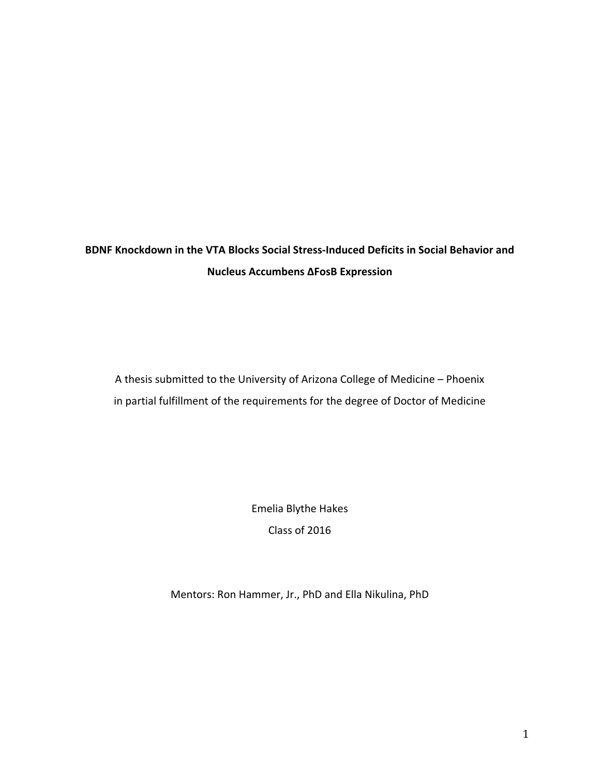# **BDNF Knockdown in the VTA Blocks Social Stress‐Induced Deficits in Social Behavior and Nucleus Accumbens ΔFosB Expression**

A thesis submitted to the University of Arizona College of Medicine – Phoenix in partial fulfillment of the requirements for the degree of Doctor of Medicine

> Emelia Blythe Hakes Class of 2016

Mentors: Ron Hammer, Jr., PhD and Ella Nikulina, PhD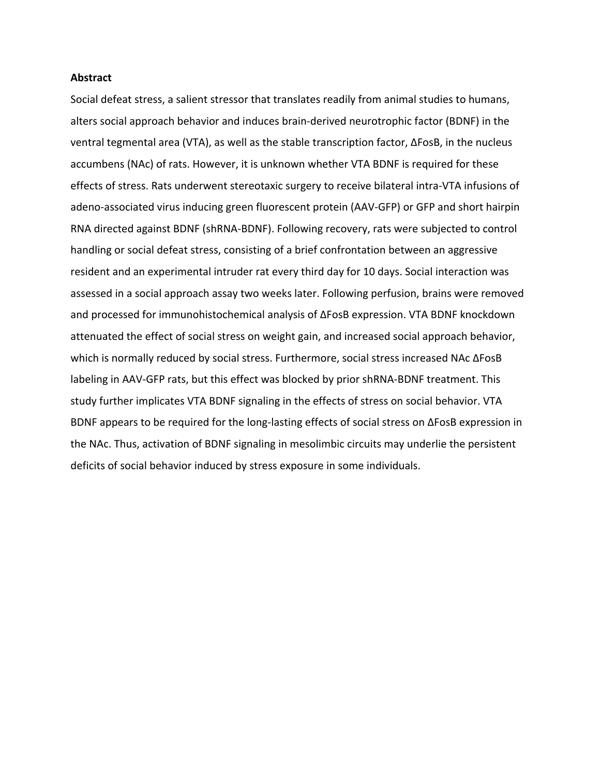#### **Abstract**

Social defeat stress, a salient stressor that translates readily from animal studies to humans, alters social approach behavior and induces brain‐derived neurotrophic factor (BDNF) in the ventral tegmental area (VTA), as well as the stable transcription factor, ΔFosB, in the nucleus accumbens (NAc) of rats. However, it is unknown whether VTA BDNF is required for these effects of stress. Rats underwent stereotaxic surgery to receive bilateral intra‐VTA infusions of adeno‐associated virus inducing green fluorescent protein (AAV‐GFP) or GFP and short hairpin RNA directed against BDNF (shRNA‐BDNF). Following recovery, rats were subjected to control handling or social defeat stress, consisting of a brief confrontation between an aggressive resident and an experimental intruder rat every third day for 10 days. Social interaction was assessed in a social approach assay two weeks later. Following perfusion, brains were removed and processed for immunohistochemical analysis of ΔFosB expression. VTA BDNF knockdown attenuated the effect of social stress on weight gain, and increased social approach behavior, which is normally reduced by social stress. Furthermore, social stress increased NAc ΔFosB labeling in AAV‐GFP rats, but this effect was blocked by prior shRNA‐BDNF treatment. This study further implicates VTA BDNF signaling in the effects of stress on social behavior. VTA BDNF appears to be required for the long‐lasting effects of social stress on ΔFosB expression in the NAc. Thus, activation of BDNF signaling in mesolimbic circuits may underlie the persistent deficits of social behavior induced by stress exposure in some individuals.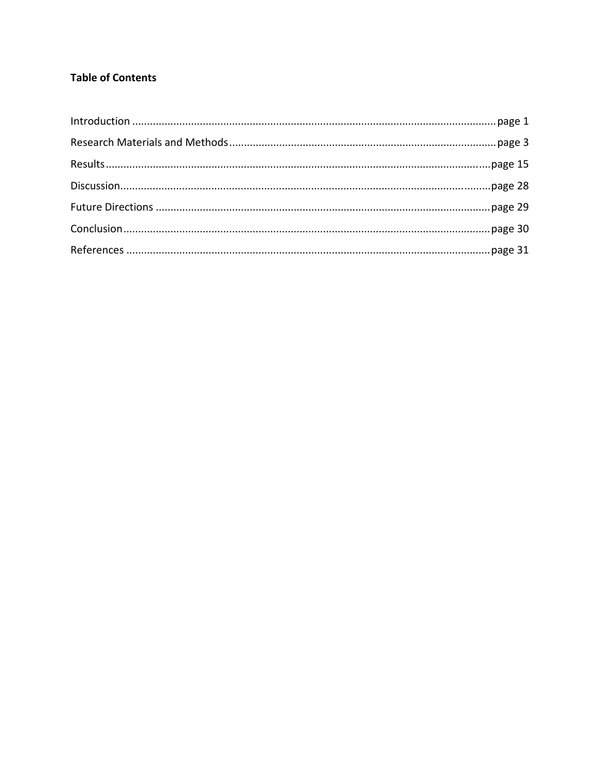## **Table of Contents**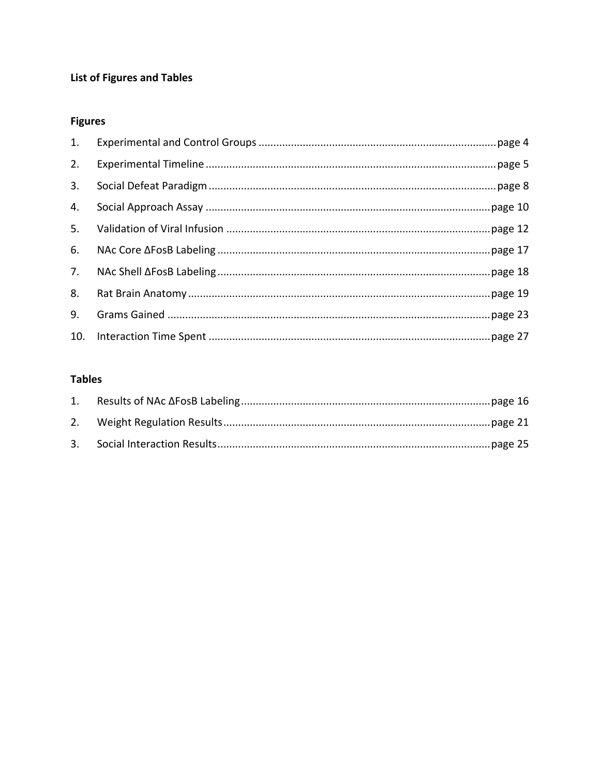## List of Figures and Tables

## **Figures**

| 1. |  |
|----|--|
| 2. |  |
| 3. |  |
| 4. |  |
| 5. |  |
| 6. |  |
| 7. |  |
| 8. |  |
| 9. |  |
|    |  |

## **Tables**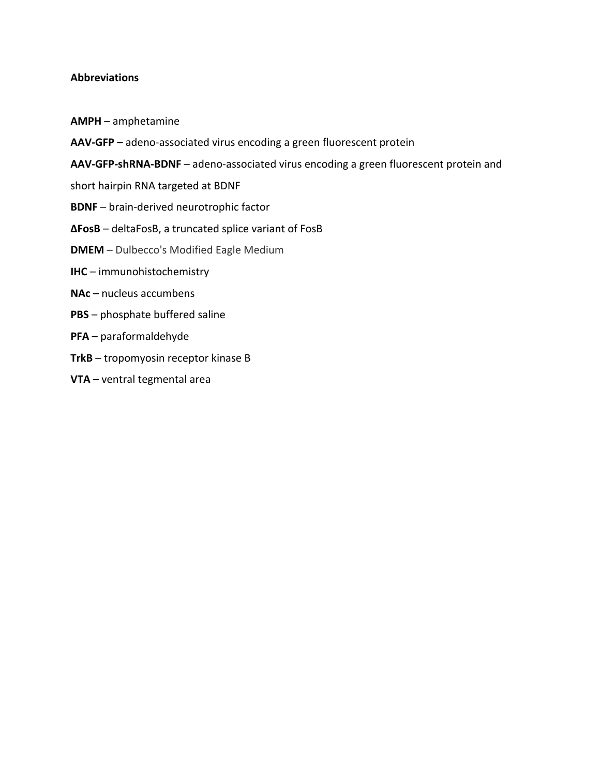## **Abbreviations**

- **AMPH** amphetamine
- **AAV‐GFP** adeno‐associated virus encoding a green fluorescent protein
- **AAV‐GFP‐shRNA‐BDNF** adeno‐associated virus encoding a green fluorescent protein and
- short hairpin RNA targeted at BDNF
- **BDNF** brain‐derived neurotrophic factor
- **ΔFosB** deltaFosB, a truncated splice variant of FosB
- **DMEM** Dulbecco's Modified Eagle Medium
- **IHC** immunohistochemistry
- **NAc** nucleus accumbens
- **PBS** phosphate buffered saline
- **PFA** paraformaldehyde
- **TrkB** tropomyosin receptor kinase B
- **VTA** ventral tegmental area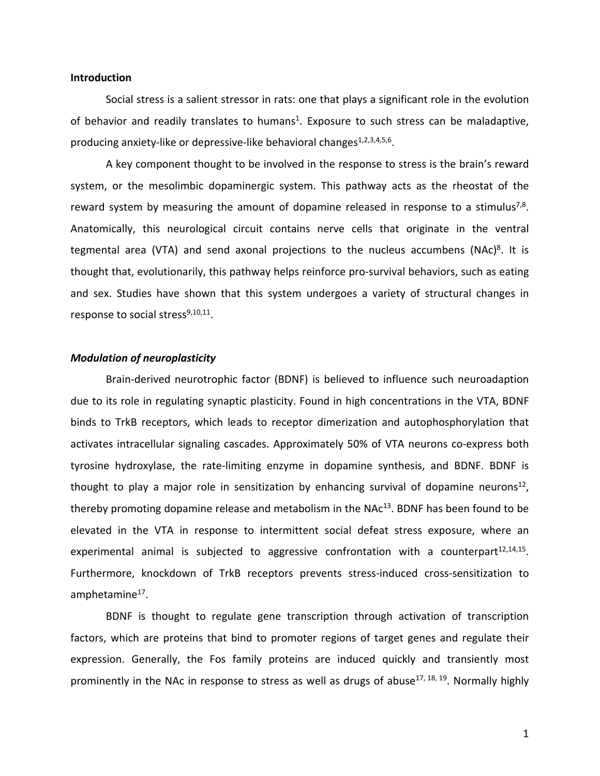### **Introduction**

Social stress is a salient stressor in rats: one that plays a significant role in the evolution of behavior and readily translates to humans<sup>1</sup>. Exposure to such stress can be maladaptive, producing anxiety-like or depressive-like behavioral changes<sup>1,2,3,4,5,6</sup>.

A key component thought to be involved in the response to stress is the brain's reward system, or the mesolimbic dopaminergic system. This pathway acts as the rheostat of the reward system by measuring the amount of dopamine released in response to a stimulus<sup>7,8</sup>. Anatomically, this neurological circuit contains nerve cells that originate in the ventral tegmental area (VTA) and send axonal projections to the nucleus accumbens (NAc)<sup>8</sup>. It is thought that, evolutionarily, this pathway helps reinforce pro‐survival behaviors, such as eating and sex. Studies have shown that this system undergoes a variety of structural changes in response to social stress $9,10,11$ .

### *Modulation of neuroplasticity*

Brain‐derived neurotrophic factor (BDNF) is believed to influence such neuroadaption due to its role in regulating synaptic plasticity. Found in high concentrations in the VTA, BDNF binds to TrkB receptors, which leads to receptor dimerization and autophosphorylation that activates intracellular signaling cascades. Approximately 50% of VTA neurons co-express both tyrosine hydroxylase, the rate‐limiting enzyme in dopamine synthesis, and BDNF. BDNF is thought to play a major role in sensitization by enhancing survival of dopamine neurons<sup>12</sup>, thereby promoting dopamine release and metabolism in the NA $c<sup>13</sup>$ . BDNF has been found to be elevated in the VTA in response to intermittent social defeat stress exposure, where an experimental animal is subjected to aggressive confrontation with a counterpart $^{12,14,15}$ . Furthermore, knockdown of TrkB receptors prevents stress-induced cross-sensitization to amphetamine<sup>17</sup>.

BDNF is thought to regulate gene transcription through activation of transcription factors, which are proteins that bind to promoter regions of target genes and regulate their expression. Generally, the Fos family proteins are induced quickly and transiently most prominently in the NAc in response to stress as well as drugs of abuse<sup>17, 18, 19</sup>. Normally highly

1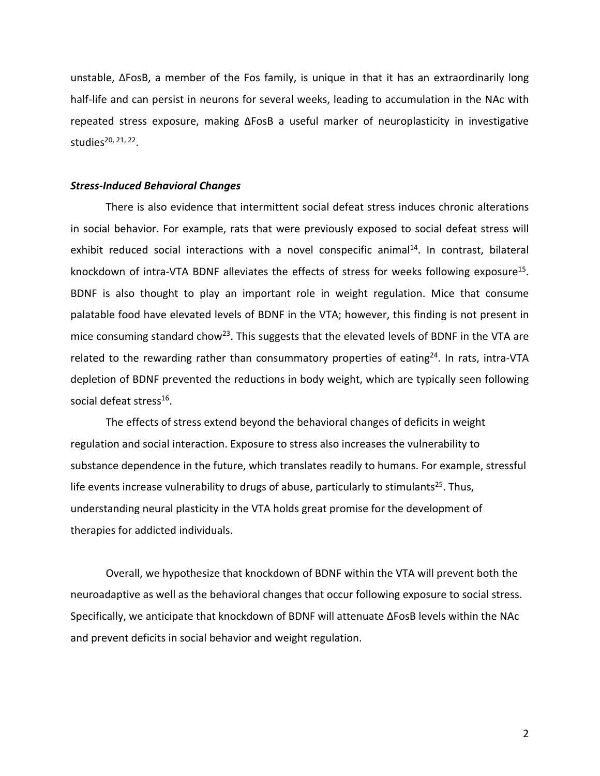unstable, ΔFosB, a member of the Fos family, is unique in that it has an extraordinarily long half-life and can persist in neurons for several weeks, leading to accumulation in the NAc with repeated stress exposure, making ΔFosB a useful marker of neuroplasticity in investigative studies<sup>20, 21, 22</sup>.

### *Stress‐Induced Behavioral Changes*

There is also evidence that intermittent social defeat stress induces chronic alterations in social behavior. For example, rats that were previously exposed to social defeat stress will exhibit reduced social interactions with a novel conspecific animal<sup>14</sup>. In contrast, bilateral knockdown of intra-VTA BDNF alleviates the effects of stress for weeks following exposure<sup>15</sup>. BDNF is also thought to play an important role in weight regulation. Mice that consume palatable food have elevated levels of BDNF in the VTA; however, this finding is not present in mice consuming standard chow<sup>23</sup>. This suggests that the elevated levels of BDNF in the VTA are related to the rewarding rather than consummatory properties of eating<sup>24</sup>. In rats, intra-VTA depletion of BDNF prevented the reductions in body weight, which are typically seen following social defeat stress<sup>16</sup>.

The effects of stress extend beyond the behavioral changes of deficits in weight regulation and social interaction. Exposure to stress also increases the vulnerability to substance dependence in the future, which translates readily to humans. For example, stressful life events increase vulnerability to drugs of abuse, particularly to stimulants<sup>25</sup>. Thus, understanding neural plasticity in the VTA holds great promise for the development of therapies for addicted individuals.

Overall, we hypothesize that knockdown of BDNF within the VTA will prevent both the neuroadaptive as well as the behavioral changes that occur following exposure to social stress. Specifically, we anticipate that knockdown of BDNF will attenuate ΔFosB levels within the NAc and prevent deficits in social behavior and weight regulation.

2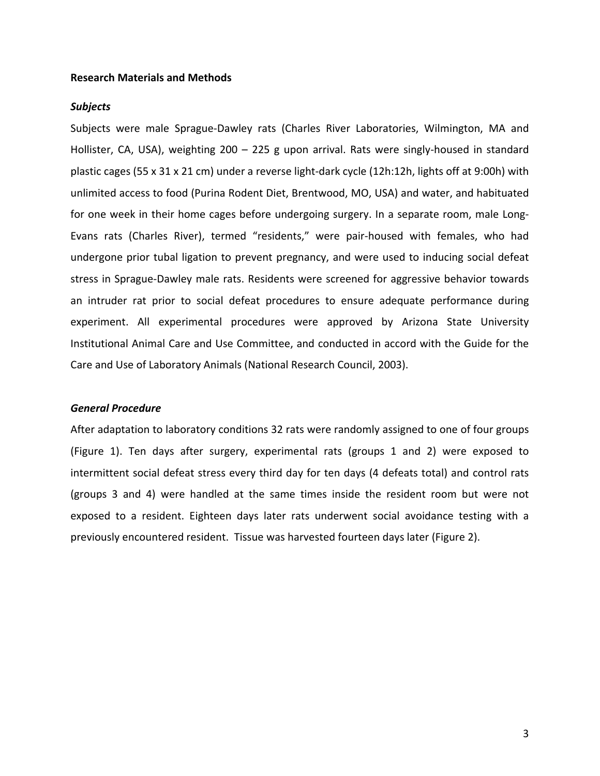#### **Research Materials and Methods**

#### *Subjects*

Subjects were male Sprague‐Dawley rats (Charles River Laboratories, Wilmington, MA and Hollister, CA, USA), weighting 200 – 225 g upon arrival. Rats were singly-housed in standard plastic cages (55 x 31 x 21 cm) under a reverse light‐dark cycle (12h:12h, lights off at 9:00h) with unlimited access to food (Purina Rodent Diet, Brentwood, MO, USA) and water, and habituated for one week in their home cages before undergoing surgery. In a separate room, male Long-Evans rats (Charles River), termed "residents," were pair‐housed with females, who had undergone prior tubal ligation to prevent pregnancy, and were used to inducing social defeat stress in Sprague‐Dawley male rats. Residents were screened for aggressive behavior towards an intruder rat prior to social defeat procedures to ensure adequate performance during experiment. All experimental procedures were approved by Arizona State University Institutional Animal Care and Use Committee, and conducted in accord with the Guide for the Care and Use of Laboratory Animals (National Research Council, 2003).

### *General Procedure*

After adaptation to laboratory conditions 32 rats were randomly assigned to one of four groups (Figure 1). Ten days after surgery, experimental rats (groups 1 and 2) were exposed to intermittent social defeat stress every third day for ten days (4 defeats total) and control rats (groups 3 and 4) were handled at the same times inside the resident room but were not exposed to a resident. Eighteen days later rats underwent social avoidance testing with a previously encountered resident. Tissue was harvested fourteen days later (Figure 2).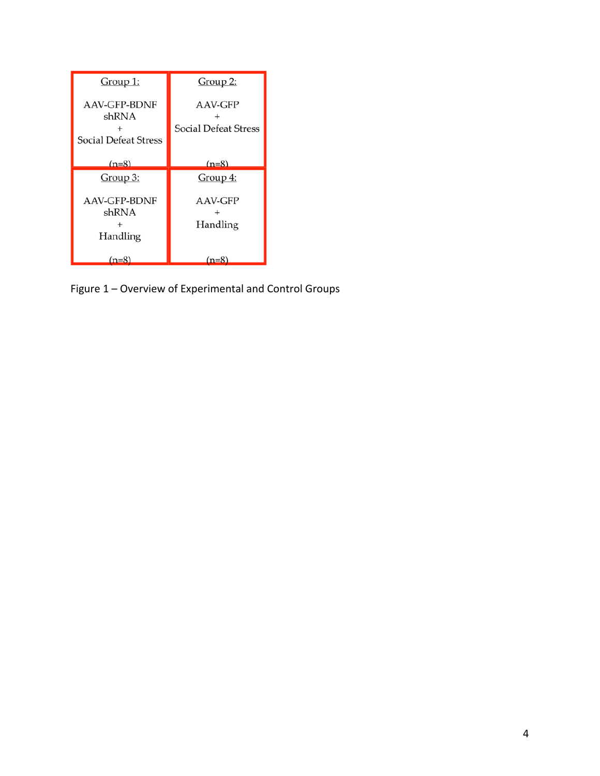| <u>Group 1:</u>                                             | Group 2:                               |
|-------------------------------------------------------------|----------------------------------------|
| <b>AAV-GFP-BDNF</b><br>shRNA<br><b>Social Defeat Stress</b> | AAV-GFP<br><b>Social Defeat Stress</b> |
| $(n=8)$                                                     | $(n=8)$                                |
| <u>Group 3:</u>                                             | $Group\ 4:$                            |
| AAV-GFP-BDNF<br>shRNA<br>Handling                           | AAV-GFP<br>Handling                    |
| $(n=8)$                                                     | $(n=8)$                                |

Figure 1 – Overview of Experimental and Control Groups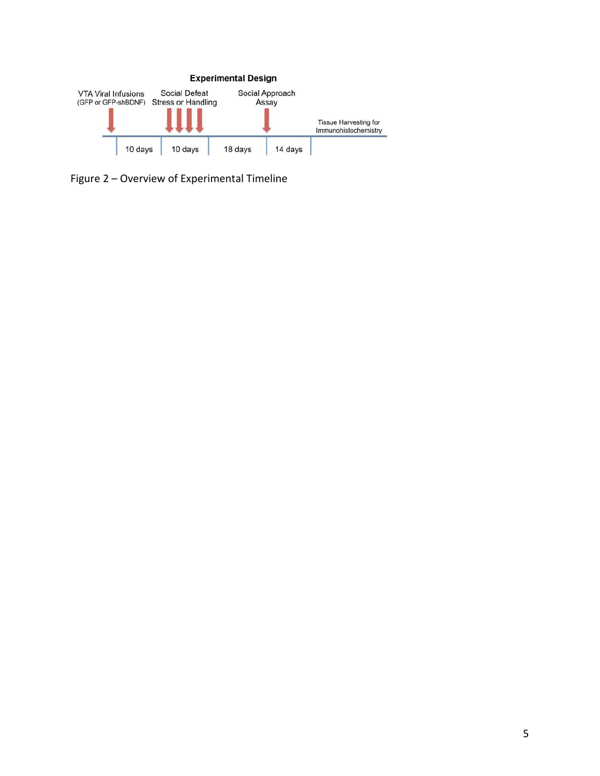

Figure 2 – Overview of Experimental Timeline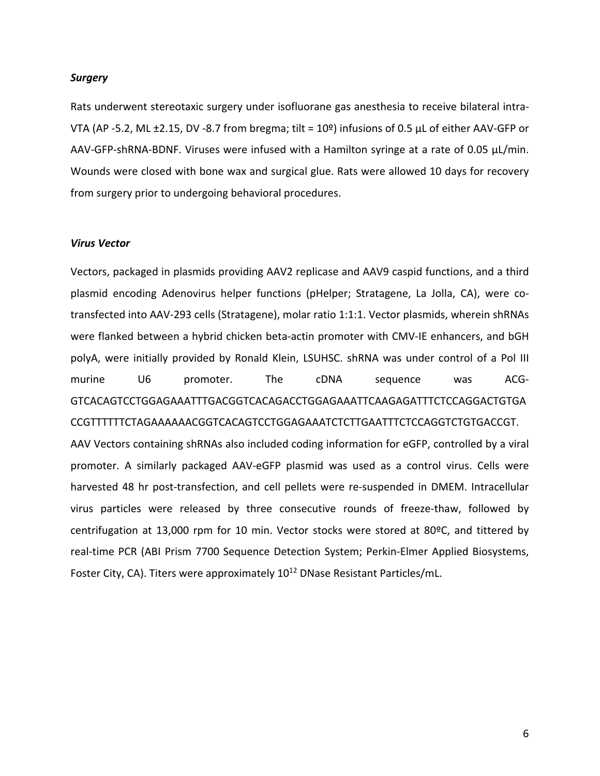#### *Surgery*

Rats underwent stereotaxic surgery under isofluorane gas anesthesia to receive bilateral intra‐ VTA (AP ‐5.2, ML ±2.15, DV ‐8.7 from bregma; tilt = 10º) infusions of 0.5 µL of either AAV‐GFP or AAV-GFP-shRNA-BDNF. Viruses were infused with a Hamilton syringe at a rate of 0.05 µL/min. Wounds were closed with bone wax and surgical glue. Rats were allowed 10 days for recovery from surgery prior to undergoing behavioral procedures.

### *Virus Vector*

Vectors, packaged in plasmids providing AAV2 replicase and AAV9 caspid functions, and a third plasmid encoding Adenovirus helper functions (pHelper; Stratagene, La Jolla, CA), were co‐ transfected into AAV‐293 cells (Stratagene), molar ratio 1:1:1. Vector plasmids, wherein shRNAs were flanked between a hybrid chicken beta-actin promoter with CMV-IE enhancers, and bGH polyA, were initially provided by Ronald Klein, LSUHSC. shRNA was under control of a Pol III murine U6 promoter. The cDNA sequence was ACG-GTCACAGTCCTGGAGAAATTTGACGGTCACAGACCTGGAGAAATTCAAGAGATTTCTCCAGGACTGTGA CCGTTTTTTCTAGAAAAAACGGTCACAGTCCTGGAGAAATCTCTTGAATTTCTCCAGGTCTGTGACCGT. AAV Vectors containing shRNAs also included coding information for eGFP, controlled by a viral promoter. A similarly packaged AAV‐eGFP plasmid was used as a control virus. Cells were harvested 48 hr post-transfection, and cell pellets were re-suspended in DMEM. Intracellular virus particles were released by three consecutive rounds of freeze-thaw, followed by centrifugation at 13,000 rpm for 10 min. Vector stocks were stored at 80ºC, and tittered by real-time PCR (ABI Prism 7700 Sequence Detection System; Perkin-Elmer Applied Biosystems, Foster City, CA). Titers were approximately 10<sup>12</sup> DNase Resistant Particles/mL.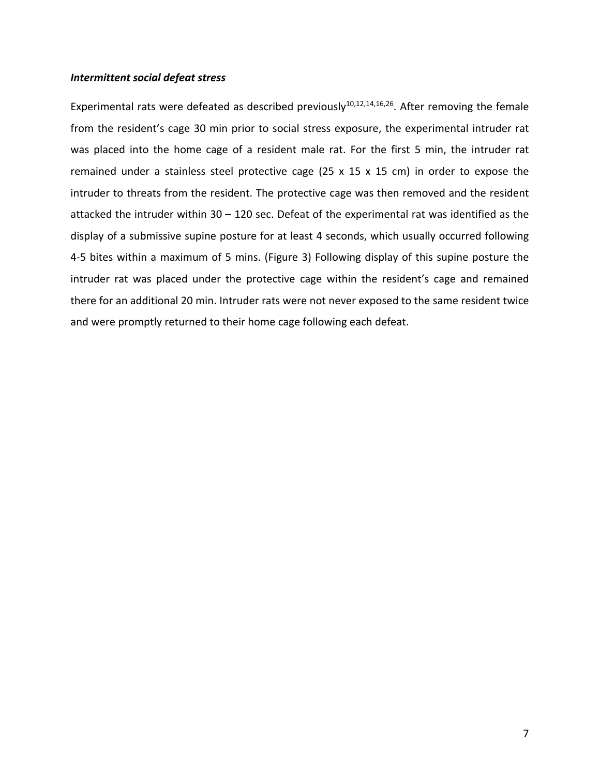## *Intermittent social defeat stress*

Experimental rats were defeated as described previously<sup>10,12,14,16,26</sup>. After removing the female from the resident's cage 30 min prior to social stress exposure, the experimental intruder rat was placed into the home cage of a resident male rat. For the first 5 min, the intruder rat remained under a stainless steel protective cage (25 x 15 x 15 cm) in order to expose the intruder to threats from the resident. The protective cage was then removed and the resident attacked the intruder within 30 – 120 sec. Defeat of the experimental rat was identified as the display of a submissive supine posture for at least 4 seconds, which usually occurred following 4‐5 bites within a maximum of 5 mins. (Figure 3) Following display of this supine posture the intruder rat was placed under the protective cage within the resident's cage and remained there for an additional 20 min. Intruder rats were not never exposed to the same resident twice and were promptly returned to their home cage following each defeat.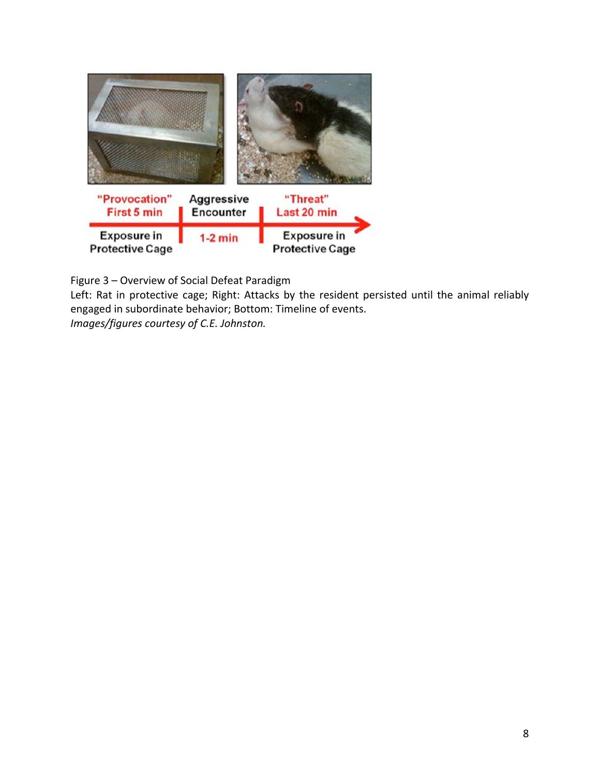

Figure 3 – Overview of Social Defeat Paradigm

Left: Rat in protective cage; Right: Attacks by the resident persisted until the animal reliably engaged in subordinate behavior; Bottom: Timeline of events. *Images/figures courtesy of C.E. Johnston.*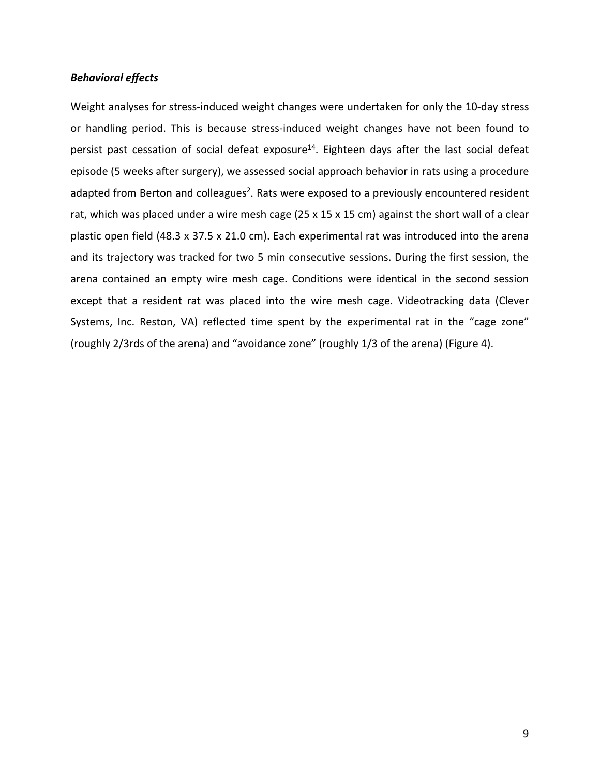## *Behavioral effects*

Weight analyses for stress-induced weight changes were undertaken for only the 10-day stress or handling period. This is because stress‐induced weight changes have not been found to persist past cessation of social defeat exposure<sup>14</sup>. Eighteen days after the last social defeat episode (5 weeks after surgery), we assessed social approach behavior in rats using a procedure adapted from Berton and colleagues<sup>2</sup>. Rats were exposed to a previously encountered resident rat, which was placed under a wire mesh cage (25 x 15 x 15 cm) against the short wall of a clear plastic open field (48.3 x 37.5 x 21.0 cm). Each experimental rat was introduced into the arena and its trajectory was tracked for two 5 min consecutive sessions. During the first session, the arena contained an empty wire mesh cage. Conditions were identical in the second session except that a resident rat was placed into the wire mesh cage. Videotracking data (Clever Systems, Inc. Reston, VA) reflected time spent by the experimental rat in the "cage zone" (roughly 2/3rds of the arena) and "avoidance zone" (roughly 1/3 of the arena) (Figure 4).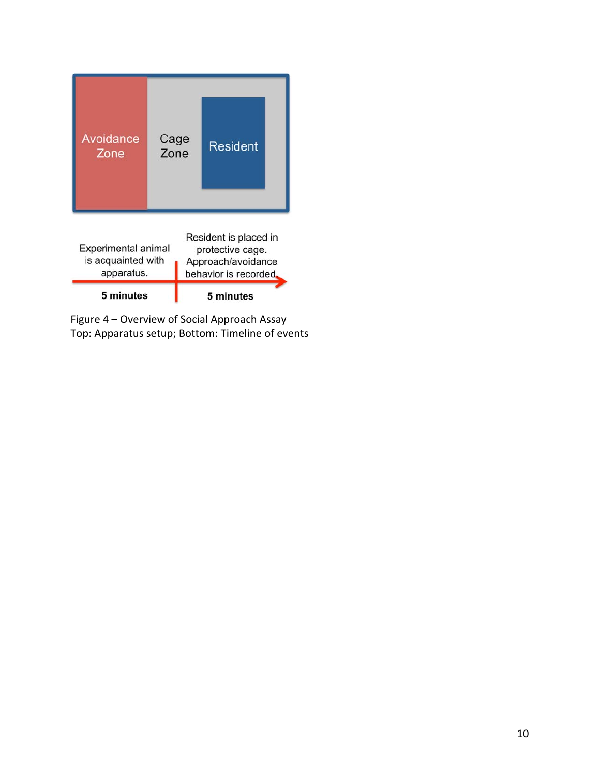| Avoidance<br>Zone                                                                                                                                                                    | Cage<br>Zone |  | <b>Resident</b> |  |
|--------------------------------------------------------------------------------------------------------------------------------------------------------------------------------------|--------------|--|-----------------|--|
| Resident is placed in<br><b>Experimental animal</b><br>protective cage.<br>is acquainted with<br>Approach/avoidance<br>apparatus.<br>behavior is recorded.<br>5 minutes<br>5 minutes |              |  |                 |  |

Figure 4 – Overview of Social Approach Assay Top: Apparatus setup; Bottom: Timeline of events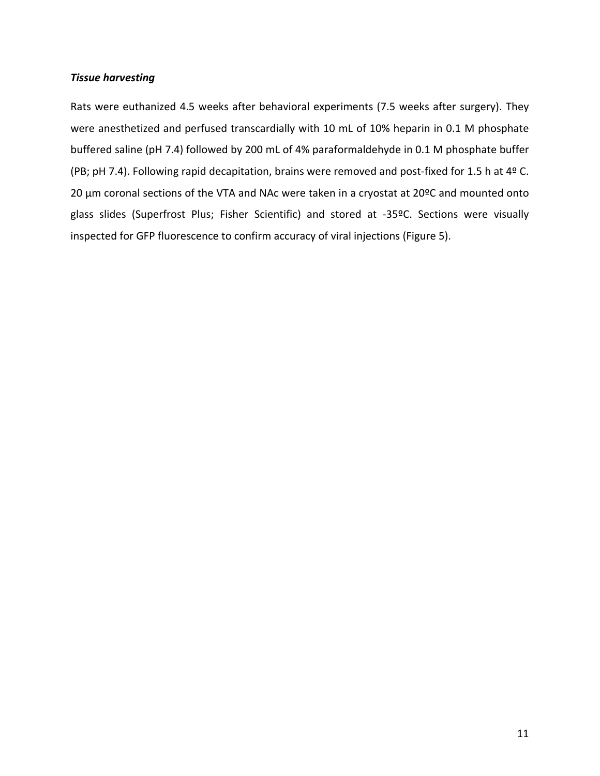## *Tissue harvesting*

Rats were euthanized 4.5 weeks after behavioral experiments (7.5 weeks after surgery). They were anesthetized and perfused transcardially with 10 mL of 10% heparin in 0.1 M phosphate buffered saline (pH 7.4) followed by 200 mL of 4% paraformaldehyde in 0.1 M phosphate buffer (PB; pH 7.4). Following rapid decapitation, brains were removed and post‐fixed for 1.5 h at 4º C. 20 µm coronal sections of the VTA and NAc were taken in a cryostat at 20ºC and mounted onto glass slides (Superfrost Plus; Fisher Scientific) and stored at -35ºC. Sections were visually inspected for GFP fluorescence to confirm accuracy of viral injections (Figure 5).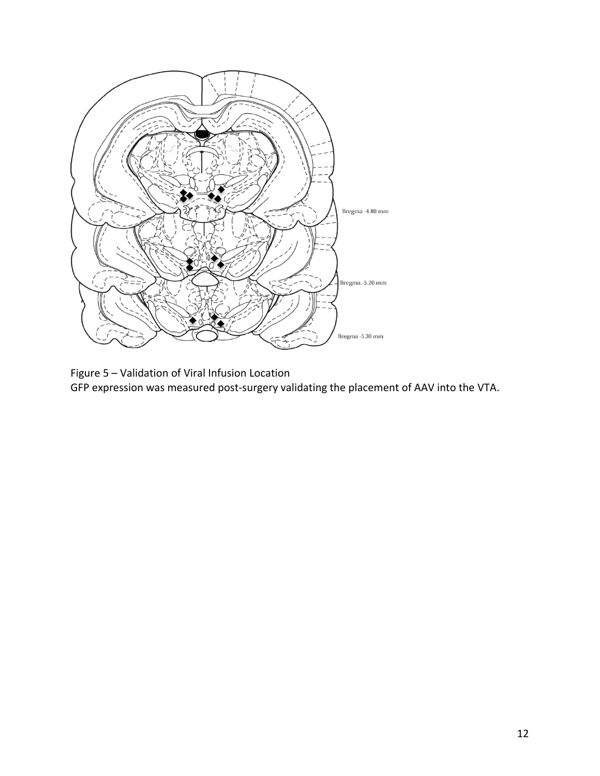

Figure 5 – Validation of Viral Infusion Location

GFP expression was measured post‐surgery validating the placement of AAV into the VTA.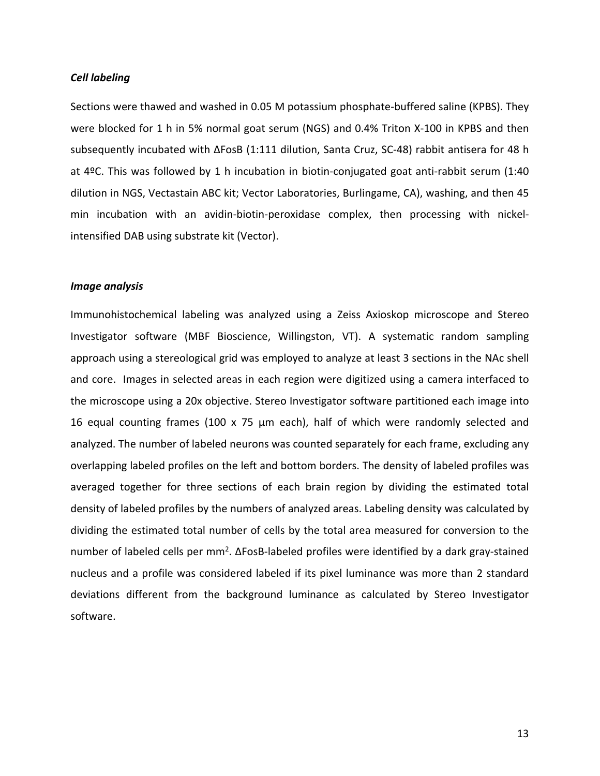#### *Cell labeling*

Sections were thawed and washed in 0.05 M potassium phosphate‐buffered saline (KPBS). They were blocked for 1 h in 5% normal goat serum (NGS) and 0.4% Triton X-100 in KPBS and then subsequently incubated with ΔFosB (1:111 dilution, Santa Cruz, SC‐48) rabbit antisera for 48 h at 4ºC. This was followed by 1 h incubation in biotin‐conjugated goat anti‐rabbit serum (1:40 dilution in NGS, Vectastain ABC kit; Vector Laboratories, Burlingame, CA), washing, and then 45 min incubation with an avidin‐biotin‐peroxidase complex, then processing with nickel‐ intensified DAB using substrate kit (Vector).

### *Image analysis*

Immunohistochemical labeling was analyzed using a Zeiss Axioskop microscope and Stereo Investigator software (MBF Bioscience, Willingston, VT). A systematic random sampling approach using a stereological grid was employed to analyze at least 3 sections in the NAc shell and core. Images in selected areas in each region were digitized using a camera interfaced to the microscope using a 20x objective. Stereo Investigator software partitioned each image into 16 equal counting frames (100 x 75 µm each), half of which were randomly selected and analyzed. The number of labeled neurons was counted separately for each frame, excluding any overlapping labeled profiles on the left and bottom borders. The density of labeled profiles was averaged together for three sections of each brain region by dividing the estimated total density of labeled profiles by the numbers of analyzed areas. Labeling density was calculated by dividing the estimated total number of cells by the total area measured for conversion to the number of labeled cells per  $mm^2$ .  $\Delta$ FosB-labeled profiles were identified by a dark gray-stained nucleus and a profile was considered labeled if its pixel luminance was more than 2 standard deviations different from the background luminance as calculated by Stereo Investigator software.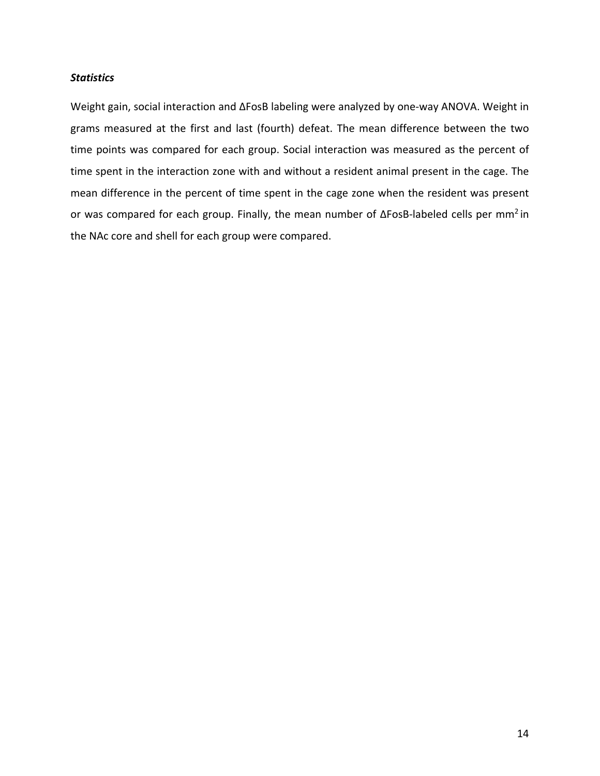## *Statistics*

Weight gain, social interaction and ΔFosB labeling were analyzed by one‐way ANOVA. Weight in grams measured at the first and last (fourth) defeat. The mean difference between the two time points was compared for each group. Social interaction was measured as the percent of time spent in the interaction zone with and without a resident animal present in the cage. The mean difference in the percent of time spent in the cage zone when the resident was present or was compared for each group. Finally, the mean number of ΔFosB‐labeled cells per mm2 in the NAc core and shell for each group were compared.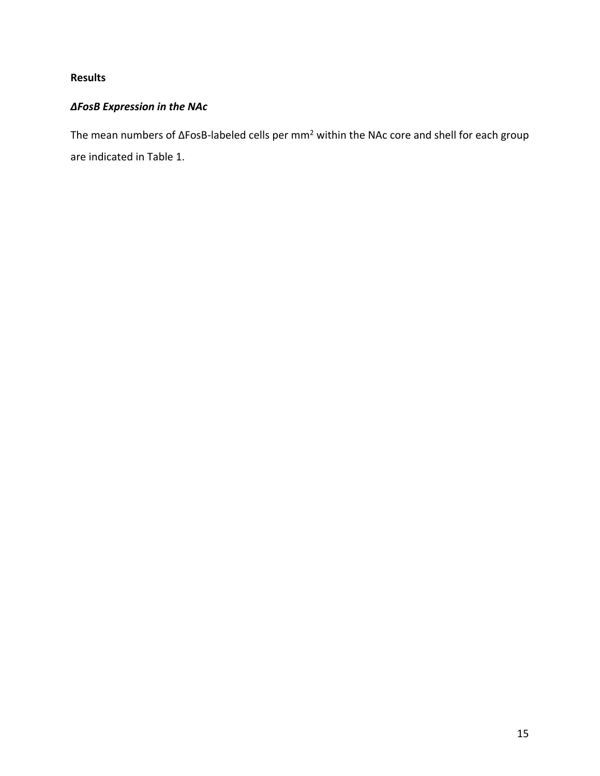## **Results**

## *ΔFosB Expression in the NAc*

The mean numbers of ΔFosB‐labeled cells per mm2 within the NAc core and shell for each group are indicated in Table 1.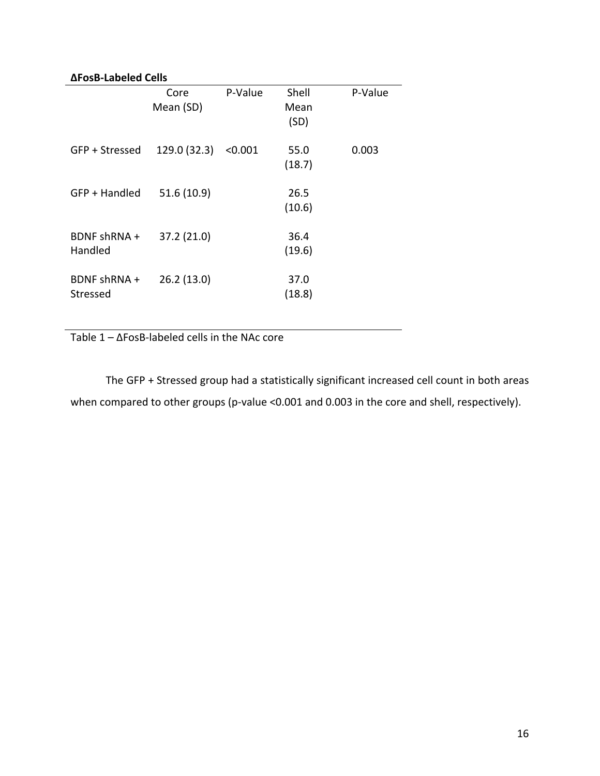## **ΔFosB‐Labeled Cells**

|                          | Core<br>Mean (SD) | P-Value | Shell<br>Mean<br>(SD) | P-Value |  |  |
|--------------------------|-------------------|---------|-----------------------|---------|--|--|
| GFP + Stressed           | 129.0 (32.3)      | < 0.001 | 55.0<br>(18.7)        | 0.003   |  |  |
| GFP + Handled            | 51.6(10.9)        |         | 26.5<br>(10.6)        |         |  |  |
| BDNF shRNA +<br>Handled  | 37.2 (21.0)       |         | 36.4<br>(19.6)        |         |  |  |
| BDNF shRNA +<br>Stressed | 26.2(13.0)        |         | 37.0<br>(18.8)        |         |  |  |

Table 1 – ΔFosB‐labeled cells in the NAc core

The GFP + Stressed group had a statistically significant increased cell count in both areas when compared to other groups (p-value <0.001 and 0.003 in the core and shell, respectively).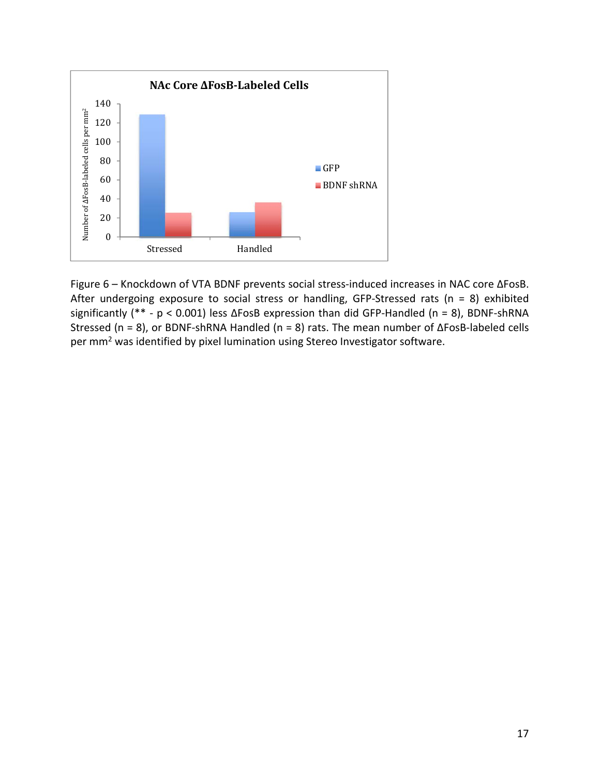

Figure 6 – Knockdown of VTA BDNF prevents social stress‐induced increases in NAC core ΔFosB. After undergoing exposure to social stress or handling, GFP-Stressed rats ( $n = 8$ ) exhibited significantly (\*\* ‐ p < 0.001) less ΔFosB expression than did GFP‐Handled (n = 8), BDNF‐shRNA Stressed (n = 8), or BDNF‐shRNA Handled (n = 8) rats. The mean number of ΔFosB‐labeled cells per mm2 was identified by pixel lumination using Stereo Investigator software.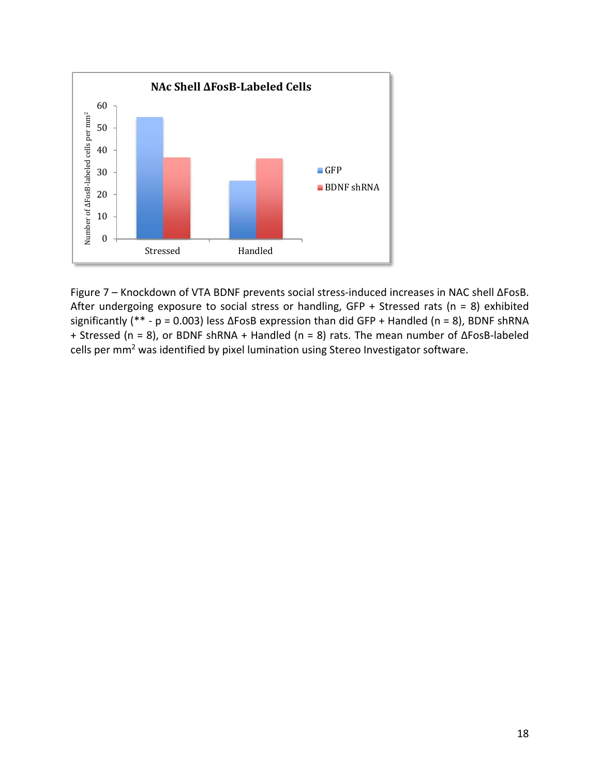

Figure 7 – Knockdown of VTA BDNF prevents social stress‐induced increases in NAC shell ΔFosB. After undergoing exposure to social stress or handling, GFP + Stressed rats ( $n = 8$ ) exhibited significantly (\*\* - p = 0.003) less  $\Delta$ FosB expression than did GFP + Handled (n = 8), BDNF shRNA + Stressed (n = 8), or BDNF shRNA + Handled (n = 8) rats. The mean number of ΔFosB‐labeled cells per mm<sup>2</sup> was identified by pixel lumination using Stereo Investigator software.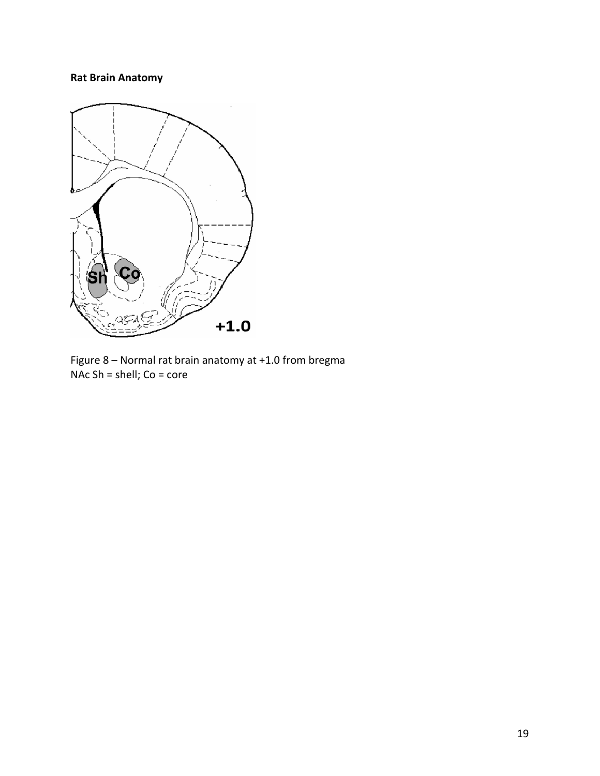## **Rat Brain Anatomy**



Figure 8 – Normal rat brain anatomy at +1.0 from bregma NAc Sh = shell; Co = core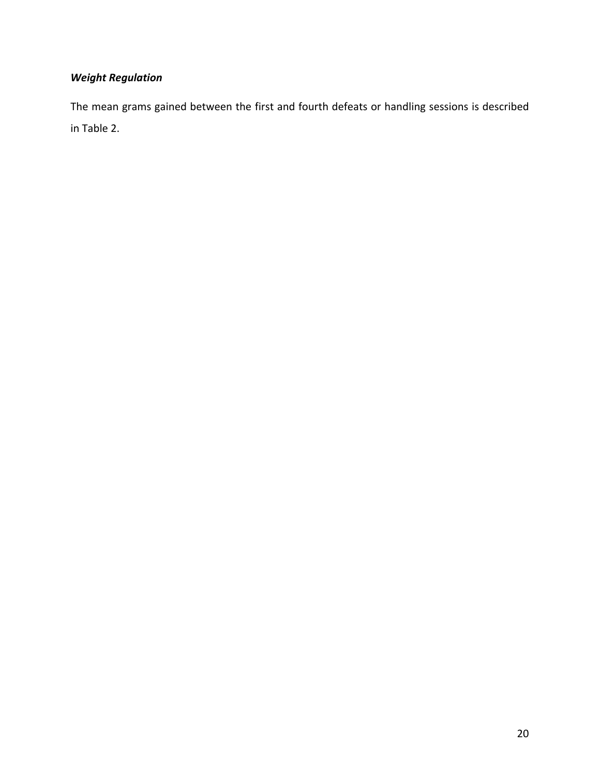## *Weight Regulation*

The mean grams gained between the first and fourth defeats or handling sessions is described in Table 2.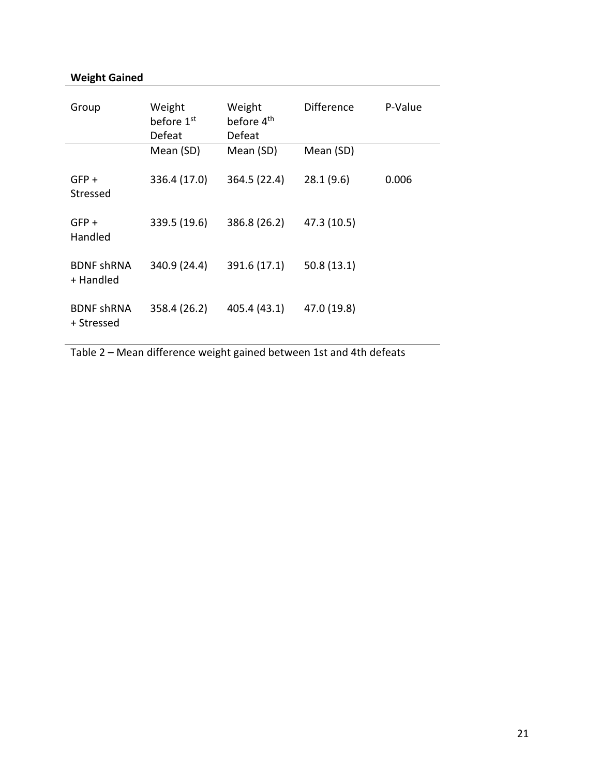## **Weight Gained**

| Group                           | Weight<br>before 1 <sup>st</sup><br>Defeat | Weight<br>before 4 <sup>th</sup><br>Defeat | <b>Difference</b> | P-Value |
|---------------------------------|--------------------------------------------|--------------------------------------------|-------------------|---------|
|                                 | Mean (SD)                                  | Mean (SD)                                  | Mean (SD)         |         |
| $GFP +$<br>Stressed             | 336.4 (17.0)                               | 364.5 (22.4)                               | 28.1(9.6)         | 0.006   |
| $GFP +$<br>Handled              | 339.5 (19.6)                               | 386.8 (26.2)                               | 47.3 (10.5)       |         |
| <b>BDNF shRNA</b><br>+ Handled  | 340.9 (24.4)                               | 391.6 (17.1)                               | 50.8(13.1)        |         |
| <b>BDNF shRNA</b><br>+ Stressed | 358.4 (26.2)                               | 405.4 (43.1)                               | 47.0 (19.8)       |         |

Table 2 – Mean difference weight gained between 1st and 4th defeats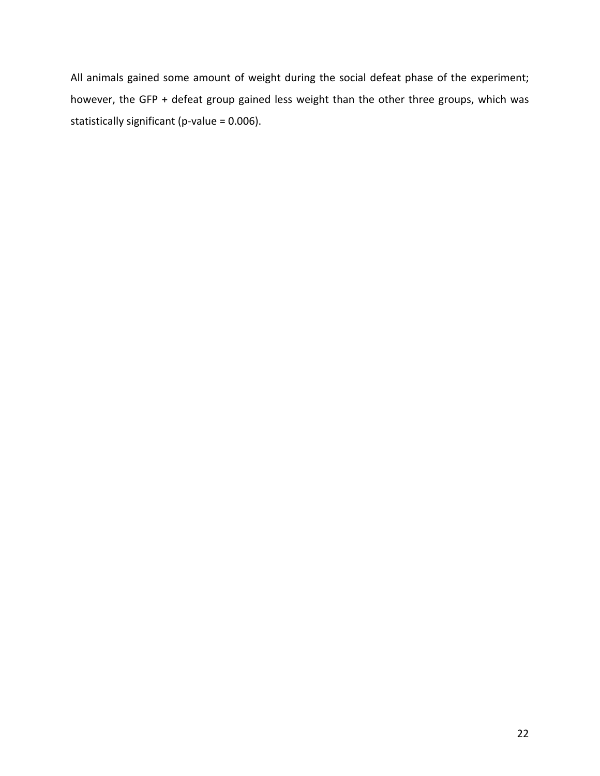All animals gained some amount of weight during the social defeat phase of the experiment; however, the GFP + defeat group gained less weight than the other three groups, which was statistically significant (p-value = 0.006).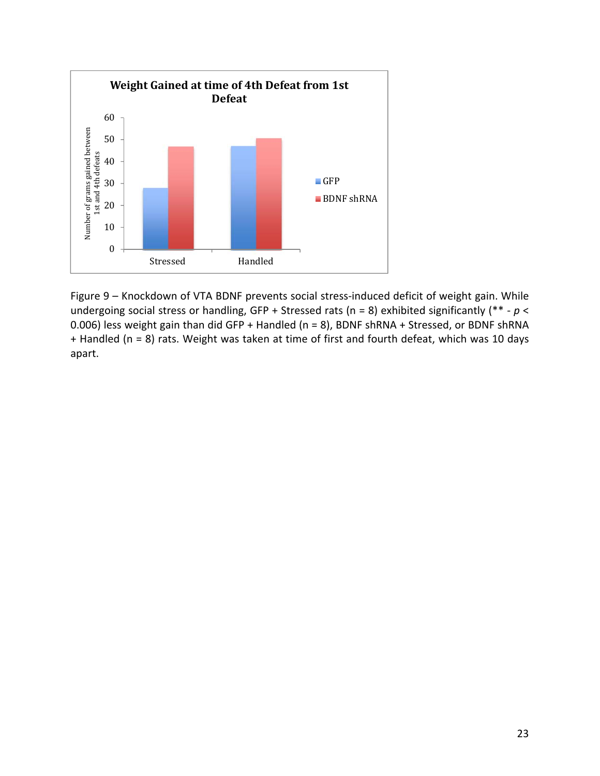

Figure 9 – Knockdown of VTA BDNF prevents social stress-induced deficit of weight gain. While undergoing social stress or handling, GFP + Stressed rats (n = 8) exhibited significantly (\*\* ‐ *p* < 0.006) less weight gain than did GFP + Handled (n = 8), BDNF shRNA + Stressed, or BDNF shRNA + Handled (n = 8) rats. Weight was taken at time of first and fourth defeat, which was 10 days apart.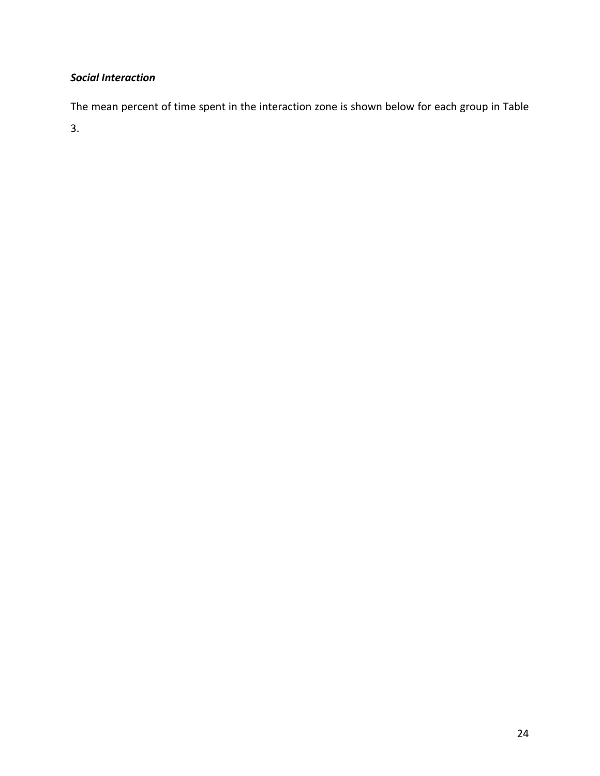## *Social Interaction*

The mean percent of time spent in the interaction zone is shown below for each group in Table

3.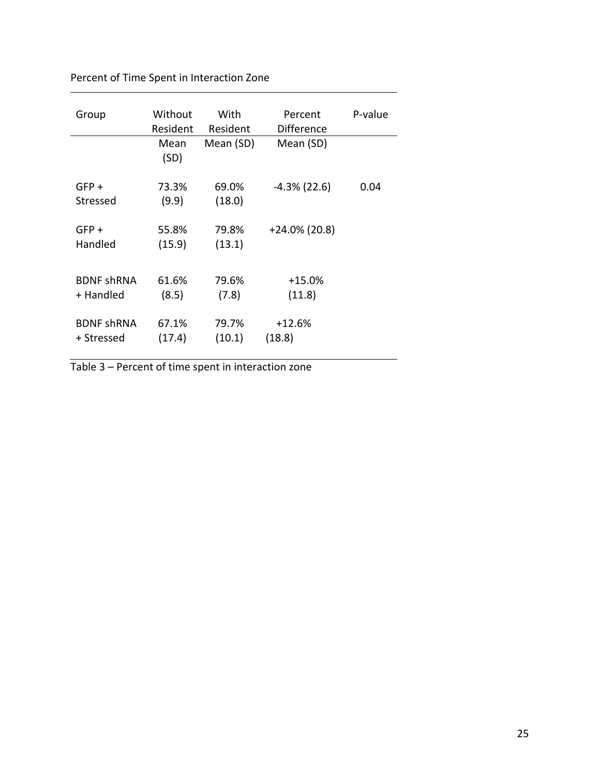| Group                           | Without<br>Resident | With<br>Resident | Percent<br>Difference | P-value |
|---------------------------------|---------------------|------------------|-----------------------|---------|
|                                 | Mean<br>(SD)        | Mean (SD)        | Mean (SD)             |         |
| $GFP +$<br>Stressed             | 73.3%<br>(9.9)      | 69.0%<br>(18.0)  | $-4.3\%$ (22.6)       | 0.04    |
| $GFP +$<br>Handled              | 55.8%<br>(15.9)     | 79.8%<br>(13.1)  | $+24.0\%$ (20.8)      |         |
| <b>BDNF shRNA</b><br>+ Handled  | 61.6%<br>(8.5)      | 79.6%<br>(7.8)   | $+15.0%$<br>(11.8)    |         |
| <b>BDNF shRNA</b><br>+ Stressed | 67.1%<br>(17.4)     | 79.7%<br>(10.1)  | $+12.6%$<br>(18.8)    |         |

Percent of Time Spent in Interaction Zone

Table 3 – Percent of time spent in interaction zone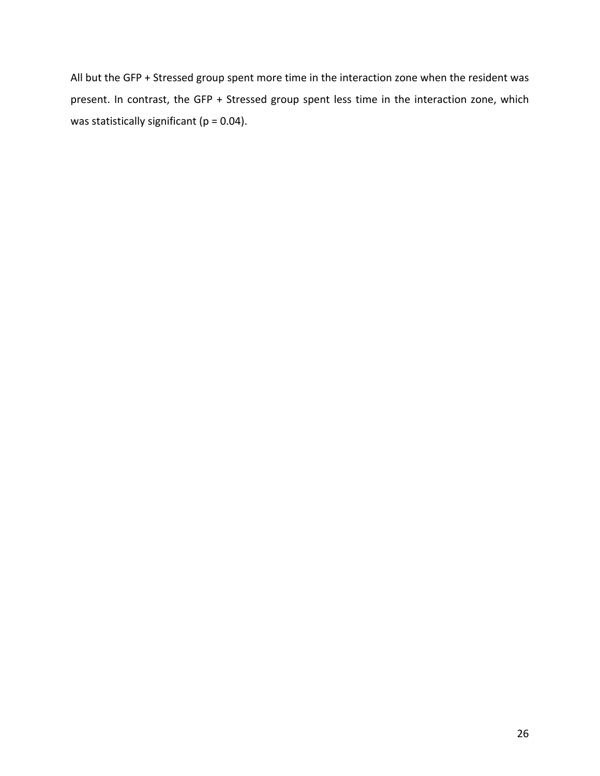All but the GFP + Stressed group spent more time in the interaction zone when the resident was present. In contrast, the GFP + Stressed group spent less time in the interaction zone, which was statistically significant ( $p = 0.04$ ).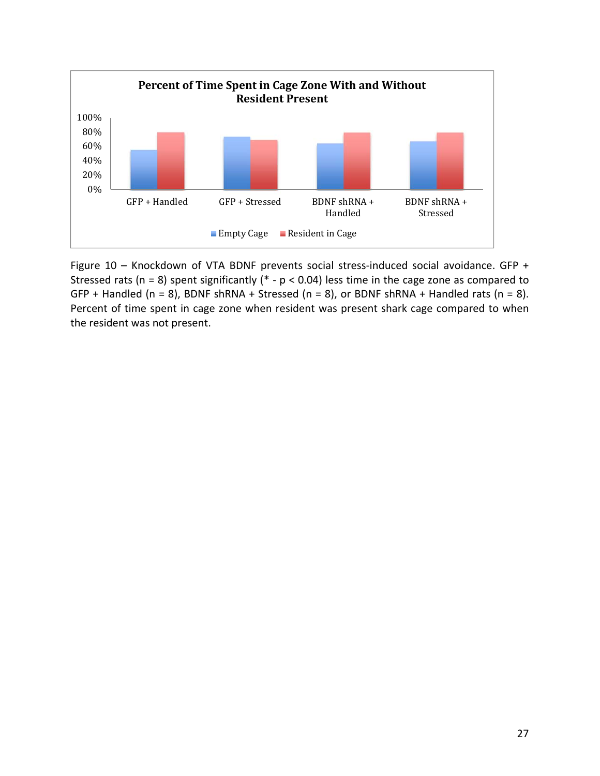

Figure 10 – Knockdown of VTA BDNF prevents social stress-induced social avoidance. GFP + Stressed rats (n = 8) spent significantly (\* -  $p$  < 0.04) less time in the cage zone as compared to GFP + Handled (n = 8), BDNF shRNA + Stressed (n = 8), or BDNF shRNA + Handled rats (n = 8). Percent of time spent in cage zone when resident was present shark cage compared to when the resident was not present.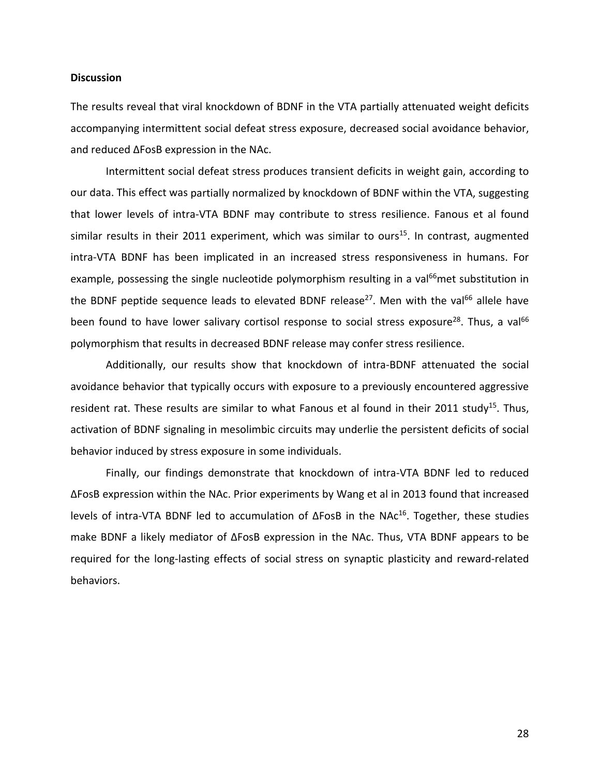### **Discussion**

The results reveal that viral knockdown of BDNF in the VTA partially attenuated weight deficits accompanying intermittent social defeat stress exposure, decreased social avoidance behavior, and reduced ΔFosB expression in the NAc.

Intermittent social defeat stress produces transient deficits in weight gain, according to our data. This effect was partially normalized by knockdown of BDNF within the VTA, suggesting that lower levels of intra‐VTA BDNF may contribute to stress resilience. Fanous et al found similar results in their 2011 experiment, which was similar to ours<sup>15</sup>. In contrast, augmented intra‐VTA BDNF has been implicated in an increased stress responsiveness in humans. For example, possessing the single nucleotide polymorphism resulting in a val<sup>66</sup>met substitution in the BDNF peptide sequence leads to elevated BDNF release<sup>27</sup>. Men with the val<sup>66</sup> allele have been found to have lower salivary cortisol response to social stress exposure<sup>28</sup>. Thus, a val<sup>66</sup> polymorphism that results in decreased BDNF release may confer stress resilience.

Additionally, our results show that knockdown of intra‐BDNF attenuated the social avoidance behavior that typically occurs with exposure to a previously encountered aggressive resident rat. These results are similar to what Fanous et al found in their 2011 study<sup>15</sup>. Thus, activation of BDNF signaling in mesolimbic circuits may underlie the persistent deficits of social behavior induced by stress exposure in some individuals.

Finally, our findings demonstrate that knockdown of intra‐VTA BDNF led to reduced ΔFosB expression within the NAc. Prior experiments by Wang et al in 2013 found that increased levels of intra-VTA BDNF led to accumulation of  $ΔFosB$  in the NAc<sup>16</sup>. Together, these studies make BDNF a likely mediator of ΔFosB expression in the NAc. Thus, VTA BDNF appears to be required for the long‐lasting effects of social stress on synaptic plasticity and reward‐related behaviors.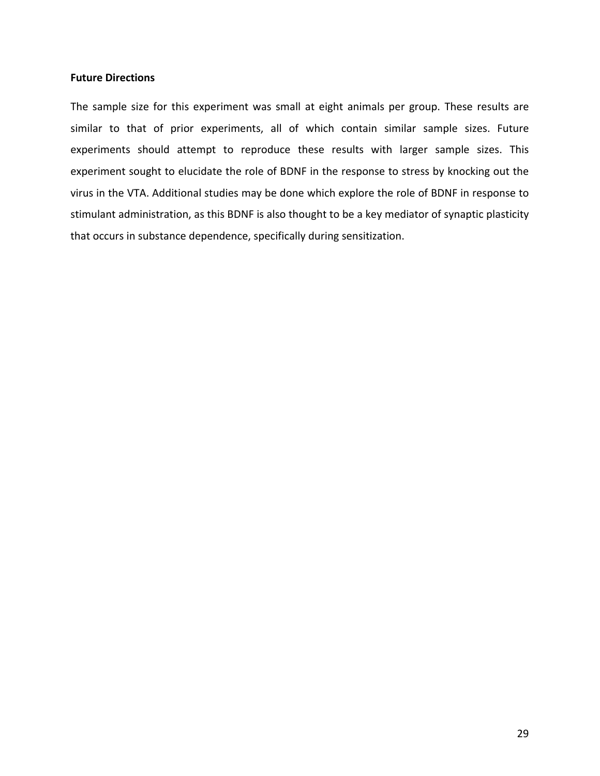### **Future Directions**

The sample size for this experiment was small at eight animals per group. These results are similar to that of prior experiments, all of which contain similar sample sizes. Future experiments should attempt to reproduce these results with larger sample sizes. This experiment sought to elucidate the role of BDNF in the response to stress by knocking out the virus in the VTA. Additional studies may be done which explore the role of BDNF in response to stimulant administration, as this BDNF is also thought to be a key mediator of synaptic plasticity that occurs in substance dependence, specifically during sensitization.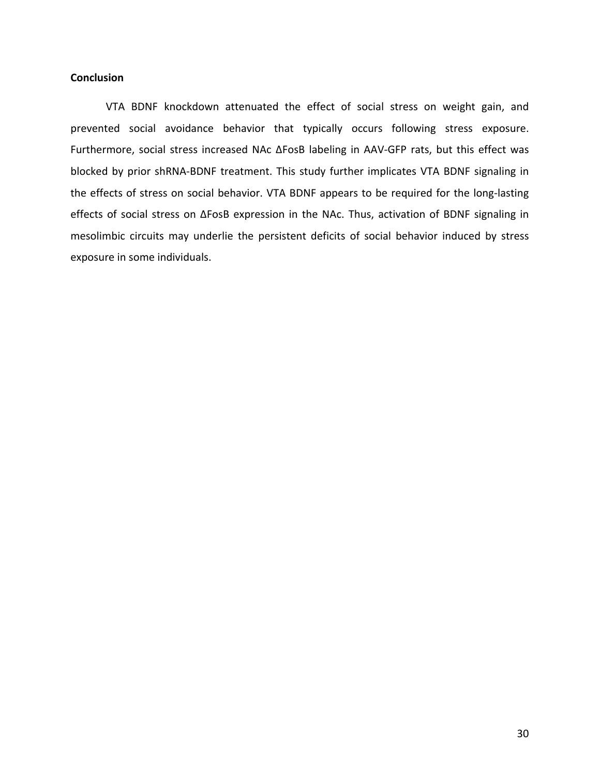## **Conclusion**

VTA BDNF knockdown attenuated the effect of social stress on weight gain, and prevented social avoidance behavior that typically occurs following stress exposure. Furthermore, social stress increased NAc ΔFosB labeling in AAV‐GFP rats, but this effect was blocked by prior shRNA‐BDNF treatment. This study further implicates VTA BDNF signaling in the effects of stress on social behavior. VTA BDNF appears to be required for the long‐lasting effects of social stress on ΔFosB expression in the NAc. Thus, activation of BDNF signaling in mesolimbic circuits may underlie the persistent deficits of social behavior induced by stress exposure in some individuals.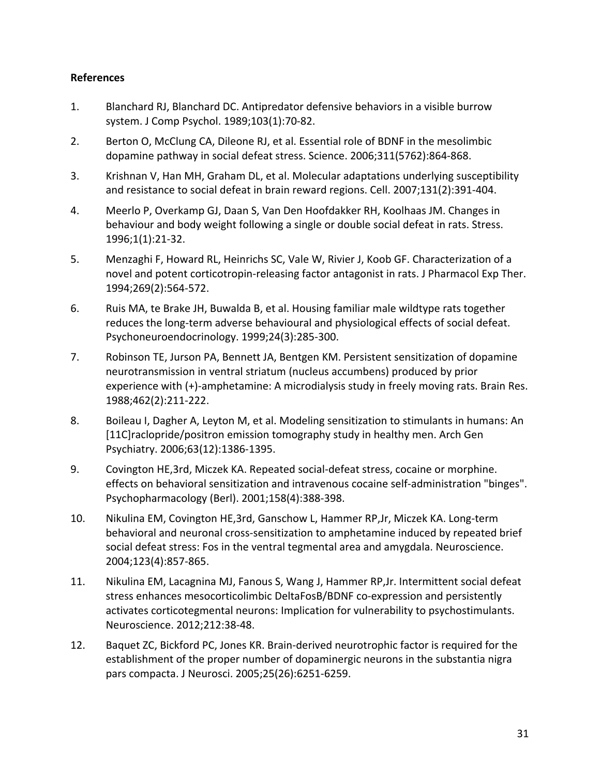## **References**

- 1. Blanchard RJ, Blanchard DC. Antipredator defensive behaviors in a visible burrow system. J Comp Psychol. 1989;103(1):70‐82.
- 2. Berton O, McClung CA, Dileone RJ, et al. Essential role of BDNF in the mesolimbic dopamine pathway in social defeat stress. Science. 2006;311(5762):864‐868.
- 3. Krishnan V, Han MH, Graham DL, et al. Molecular adaptations underlying susceptibility and resistance to social defeat in brain reward regions. Cell. 2007;131(2):391‐404.
- 4. Meerlo P, Overkamp GJ, Daan S, Van Den Hoofdakker RH, Koolhaas JM. Changes in behaviour and body weight following a single or double social defeat in rats. Stress. 1996;1(1):21‐32.
- 5. Menzaghi F, Howard RL, Heinrichs SC, Vale W, Rivier J, Koob GF. Characterization of a novel and potent corticotropin‐releasing factor antagonist in rats. J Pharmacol Exp Ther. 1994;269(2):564‐572.
- 6. Ruis MA, te Brake JH, Buwalda B, et al. Housing familiar male wildtype rats together reduces the long-term adverse behavioural and physiological effects of social defeat. Psychoneuroendocrinology. 1999;24(3):285‐300.
- 7. Robinson TE, Jurson PA, Bennett JA, Bentgen KM. Persistent sensitization of dopamine neurotransmission in ventral striatum (nucleus accumbens) produced by prior experience with (+)-amphetamine: A microdialysis study in freely moving rats. Brain Res. 1988;462(2):211‐222.
- 8. Boileau I, Dagher A, Leyton M, et al. Modeling sensitization to stimulants in humans: An [11C]raclopride/positron emission tomography study in healthy men. Arch Gen Psychiatry. 2006;63(12):1386‐1395.
- 9. Covington HE, 3rd, Miczek KA. Repeated social-defeat stress, cocaine or morphine. effects on behavioral sensitization and intravenous cocaine self‐administration "binges". Psychopharmacology (Berl). 2001;158(4):388‐398.
- 10. Nikulina EM, Covington HE,3rd, Ganschow L, Hammer RP,Jr, Miczek KA. Long‐term behavioral and neuronal cross-sensitization to amphetamine induced by repeated brief social defeat stress: Fos in the ventral tegmental area and amygdala. Neuroscience. 2004;123(4):857‐865.
- 11. Nikulina EM, Lacagnina MJ, Fanous S, Wang J, Hammer RP,Jr. Intermittent social defeat stress enhances mesocorticolimbic DeltaFosB/BDNF co‐expression and persistently activates corticotegmental neurons: Implication for vulnerability to psychostimulants. Neuroscience. 2012;212:38‐48.
- 12. Baquet ZC, Bickford PC, Jones KR. Brain‐derived neurotrophic factor is required for the establishment of the proper number of dopaminergic neurons in the substantia nigra pars compacta. J Neurosci. 2005;25(26):6251‐6259.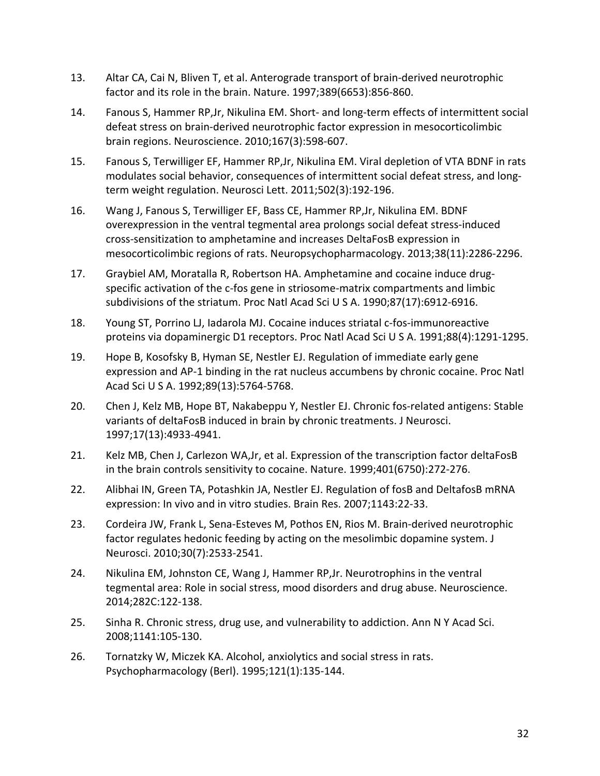- 13. Altar CA, Cai N, Bliven T, et al. Anterograde transport of brain‐derived neurotrophic factor and its role in the brain. Nature. 1997;389(6653):856‐860.
- 14. Fanous S, Hammer RP, Jr, Nikulina EM. Short- and long-term effects of intermittent social defeat stress on brain‐derived neurotrophic factor expression in mesocorticolimbic brain regions. Neuroscience. 2010;167(3):598‐607.
- 15. Fanous S, Terwilliger EF, Hammer RP,Jr, Nikulina EM. Viral depletion of VTA BDNF in rats modulates social behavior, consequences of intermittent social defeat stress, and long‐ term weight regulation. Neurosci Lett. 2011;502(3):192‐196.
- 16. Wang J, Fanous S, Terwilliger EF, Bass CE, Hammer RP,Jr, Nikulina EM. BDNF overexpression in the ventral tegmental area prolongs social defeat stress‐induced cross‐sensitization to amphetamine and increases DeltaFosB expression in mesocorticolimbic regions of rats. Neuropsychopharmacology. 2013;38(11):2286‐2296.
- 17. Graybiel AM, Moratalla R, Robertson HA. Amphetamine and cocaine induce drug‐ specific activation of the c-fos gene in striosome-matrix compartments and limbic subdivisions of the striatum. Proc Natl Acad Sci U S A. 1990;87(17):6912‐6916.
- 18. Young ST, Porrino LJ, Iadarola MJ. Cocaine induces striatal c‐fos‐immunoreactive proteins via dopaminergic D1 receptors. Proc Natl Acad Sci U S A. 1991;88(4):1291‐1295.
- 19. Hope B, Kosofsky B, Hyman SE, Nestler EJ. Regulation of immediate early gene expression and AP‐1 binding in the rat nucleus accumbens by chronic cocaine. Proc Natl Acad Sci U S A. 1992;89(13):5764‐5768.
- 20. Chen J, Kelz MB, Hope BT, Nakabeppu Y, Nestler EJ. Chronic fos-related antigens: Stable variants of deltaFosB induced in brain by chronic treatments. J Neurosci. 1997;17(13):4933‐4941.
- 21. Kelz MB, Chen J, Carlezon WA,Jr, et al. Expression of the transcription factor deltaFosB in the brain controls sensitivity to cocaine. Nature. 1999;401(6750):272‐276.
- 22. Alibhai IN, Green TA, Potashkin JA, Nestler EJ. Regulation of fosB and DeltafosB mRNA expression: In vivo and in vitro studies. Brain Res. 2007;1143:22‐33.
- 23. Cordeira JW, Frank L, Sena‐Esteves M, Pothos EN, Rios M. Brain‐derived neurotrophic factor regulates hedonic feeding by acting on the mesolimbic dopamine system. J Neurosci. 2010;30(7):2533‐2541.
- 24. Nikulina EM, Johnston CE, Wang J, Hammer RP,Jr. Neurotrophins in the ventral tegmental area: Role in social stress, mood disorders and drug abuse. Neuroscience. 2014;282C:122‐138.
- 25. Sinha R. Chronic stress, drug use, and vulnerability to addiction. Ann N Y Acad Sci. 2008;1141:105‐130.
- 26. Tornatzky W, Miczek KA. Alcohol, anxiolytics and social stress in rats. Psychopharmacology (Berl). 1995;121(1):135‐144.